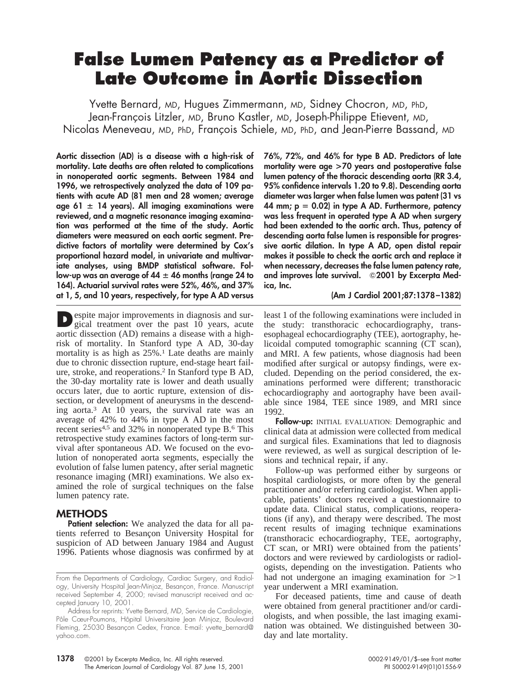# **False Lumen Patency as a Predictor of Late Outcome in Aortic Dissection**

Yvette Bernard, MD, Hugues Zimmermann, MD, Sidney Chocron, MD, PhD, Jean-François Litzler, MD, Bruno Kastler, MD, Joseph-Philippe Etievent, MD, Nicolas Meneveau, MD, PhD, François Schiele, MD, PhD, and Jean-Pierre Bassand, MD

**Aortic dissection (AD) is a disease with a high-risk of mortality. Late deaths are often related to complications in nonoperated aortic segments. Between 1984 and 1996, we retrospectively analyzed the data of 109 patients with acute AD (81 men and 28 women; average**  $a$ ge 61  $\pm$  14 years). All imaging examinations were **reviewed, and a magnetic resonance imaging examination was performed at the time of the study. Aortic diameters were measured on each aortic segment. Predictive factors of mortality were determined by Cox's proportional hazard model, in univariate and multivariate analyses, using BMDP statistical software. Fol** $low$ -up was an average of  $44 \pm 46$  months (range 24 to **164). Actuarial survival rates were 52%, 46%, and 37% at 1, 5, and 10 years, respectively, for type A AD versus**

**D**espite major improvements in diagnosis and sur-<br>gical treatment over the past 10 years, acute aortic dissection (AD) remains a disease with a highrisk of mortality. In Stanford type A AD, 30-day mortality is as high as  $25\%$ .<sup>1</sup> Late deaths are mainly due to chronic dissection rupture, end-stage heart failure, stroke, and reoperations.2 In Stanford type B AD, the 30-day mortality rate is lower and death usually occurs later, due to aortic rupture, extension of dissection, or development of aneurysms in the descending aorta.3 At 10 years, the survival rate was an average of 42% to 44% in type A AD in the most recent series<sup>4,5</sup> and 32% in nonoperated type B.<sup>6</sup> This retrospective study examines factors of long-term survival after spontaneous AD. We focused on the evolution of nonoperated aorta segments, especially the evolution of false lumen patency, after serial magnetic resonance imaging (MRI) examinations. We also examined the role of surgical techniques on the false lumen patency rate.

## **METHODS**

**Patient selection:** We analyzed the data for all patients referred to Besançon University Hospital for suspicion of AD between January 1984 and August 1996. Patients whose diagnosis was confirmed by at **76%, 72%, and 46% for type B AD. Predictors of late mortality were age >70 years and postoperative false lumen patency of the thoracic descending aorta (RR 3.4, 95% confidence intervals 1.20 to 9.8). Descending aorta diameter was larger when false lumen was patent (31 vs** 44 mm;  $p = 0.02$  in type A AD. Furthermore, patency **was less frequent in operated type A AD when surgery had been extended to the aortic arch. Thus, patency of descending aorta false lumen is responsible for progressive aortic dilation. In type A AD, open distal repair makes it possible to check the aortic arch and replace it when necessary, decreases the false lumen patency rate,** and improves late survival.  $\odot$ 2001 by Excerpta Med**ica, Inc.**

#### **(Am J Cardiol 2001;87:1378–1382)**

least 1 of the following examinations were included in the study: transthoracic echocardiography, transesophageal echocardiography (TEE), aortography, helicoidal computed tomographic scanning (CT scan), and MRI. A few patients, whose diagnosis had been modified after surgical or autopsy findings, were excluded. Depending on the period considered, the examinations performed were different; transthoracic echocardiography and aortography have been available since 1984, TEE since 1989, and MRI since 1992.

**Follow-up:** INITIAL EVALUATION: Demographic and clinical data at admission were collected from medical and surgical files. Examinations that led to diagnosis were reviewed, as well as surgical description of lesions and technical repair, if any.

Follow-up was performed either by surgeons or hospital cardiologists, or more often by the general practitioner and/or referring cardiologist. When applicable, patients' doctors received a questionnaire to update data. Clinical status, complications, reoperations (if any), and therapy were described. The most recent results of imaging technique examinations (transthoracic echocardiography, TEE, aortography, CT scan, or MRI) were obtained from the patients' doctors and were reviewed by cardiologists or radiologists, depending on the investigation. Patients who had not undergone an imaging examination for  $>1$ year underwent a MRI examination.

For deceased patients, time and cause of death were obtained from general practitioner and/or cardiologists, and when possible, the last imaging examination was obtained. We distinguished between 30 day and late mortality.

From the Departments of Cardiology, Cardiac Surgery, and Radiology, University Hospital Jean-Minjoz, Besancon, France. Manuscript received September 4, 2000; revised manuscript received and accepted January 10, 2001.

Address for reprints: Yvette Bernard, MD, Service de Cardiologie, Pôle Cœur-Poumons, Hôpital Universitaire Jean Minjoz, Boulevard Fleming, 25030 Besancon Cedex, France. E-mail: yvette\_bernard@ yahoo.com.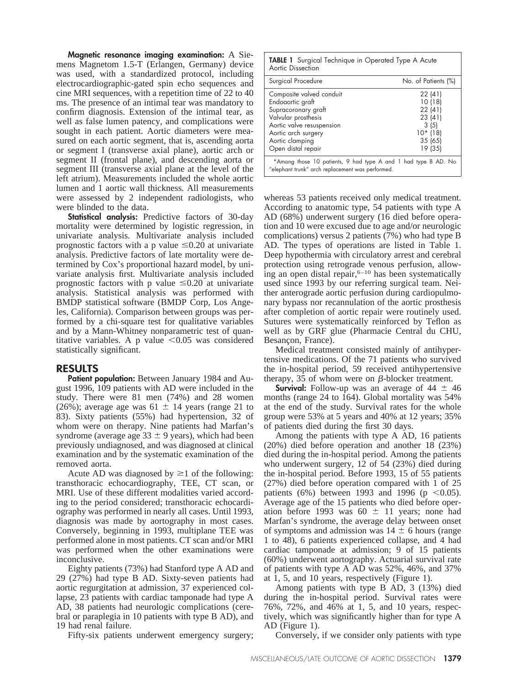**Magnetic resonance imaging examination:** A Siemens Magnetom 1.5-T (Erlangen, Germany) device was used, with a standardized protocol, including electrocardiographic-gated spin echo sequences and cine MRI sequences, with a repetition time of 22 to 40 ms. The presence of an intimal tear was mandatory to confirm diagnosis. Extension of the intimal tear, as well as false lumen patency, and complications were sought in each patient. Aortic diameters were measured on each aortic segment, that is, ascending aorta or segment I (transverse axial plane), aortic arch or segment II (frontal plane), and descending aorta or segment III (transverse axial plane at the level of the left atrium). Measurements included the whole aortic lumen and 1 aortic wall thickness. All measurements were assessed by 2 independent radiologists, who were blinded to the data.

**Statistical analysis:** Predictive factors of 30-day mortality were determined by logistic regression, in univariate analysis. Multivariate analysis included prognostic factors with a p value  $\leq 0.20$  at univariate analysis. Predictive factors of late mortality were determined by Cox's proportional hazard model, by univariate analysis first. Multivariate analysis included prognostic factors with p value  $\leq 0.20$  at univariate analysis. Statistical analysis was performed with BMDP statistical software (BMDP Corp, Los Angeles, California). Comparison between groups was performed by a chi-square test for qualitative variables and by a Mann-Whitney nonparametric test of quantitative variables. A p value  $< 0.05$  was considered statistically significant.

#### **RESULTS**

**Patient population:** Between January 1984 and August 1996, 109 patients with AD were included in the study. There were 81 men (74%) and 28 women (26%); average age was  $61 \pm 14$  years (range 21 to 83). Sixty patients (55%) had hypertension, 32 of whom were on therapy. Nine patients had Marfan's syndrome (average age  $33 \pm 9$  years), which had been previously undiagnosed, and was diagnosed at clinical examination and by the systematic examination of the removed aorta.

Acute AD was diagnosed by  $\geq 1$  of the following: transthoracic echocardiography, TEE, CT scan, or MRI. Use of these different modalities varied according to the period considered; transthoracic echocardiography was performed in nearly all cases. Until 1993, diagnosis was made by aortography in most cases. Conversely, beginning in 1993, multiplane TEE was performed alone in most patients. CT scan and/or MRI was performed when the other examinations were inconclusive.

Eighty patients (73%) had Stanford type A AD and 29 (27%) had type B AD. Sixty-seven patients had aortic regurgitation at admission, 37 experienced collapse, 23 patients with cardiac tamponade had type A AD, 38 patients had neurologic complications (cerebral or paraplegia in 10 patients with type B AD), and 19 had renal failure.

Fifty-six patients underwent emergency surgery;

**TABLE 1** Surgical Technique in Operated Type A Acute Aortic Dissection

| Surgical Procedure                                                                                                                                                                      | No. of Patients (%)                                                             |
|-----------------------------------------------------------------------------------------------------------------------------------------------------------------------------------------|---------------------------------------------------------------------------------|
| Composite valved conduit<br>Endoaortic graft<br>Supracoronary graft<br>Valvular prosthesis<br>Aortic valve resuspension<br>Aortic arch surgery<br>Aortic clamping<br>Open distal repair | 22(41)<br>10(18)<br>22(41)<br>23(41)<br>3(5)<br>$10*$ (18)<br>35(65)<br>19 (35) |
| *Among those 10 patients, 9 had type A and 1 had type B AD. No<br>"elephant trunk" arch replacement was performed.                                                                      |                                                                                 |

whereas 53 patients received only medical treatment. According to anatomic type, 54 patients with type A AD (68%) underwent surgery (16 died before operation and 10 were excused due to age and/or neurologic complications) versus 2 patients (7%) who had type B AD. The types of operations are listed in Table 1. Deep hypothermia with circulatory arrest and cerebral protection using retrograde venous perfusion, allowing an open distal repair, $6-10$  has been systematically used since 1993 by our referring surgical team. Neither anterograde aortic perfusion during cardiopulmonary bypass nor recannulation of the aortic prosthesis after completion of aortic repair were routinely used. Sutures were systematically reinforced by Teflon as well as by GRF glue (Pharmacie Central du CHU, Besançon, France).

Medical treatment consisted mainly of antihypertensive medications. Of the 71 patients who survived the in-hospital period, 59 received antihypertensive therapy, 35 of whom were on  $\beta$ -blocker treatment.

**Survival:** Follow-up was an average of  $44 \pm 46$ months (range 24 to 164). Global mortality was 54% at the end of the study. Survival rates for the whole group were 53% at 5 years and 40% at 12 years; 35% of patients died during the first 30 days.

Among the patients with type A AD, 16 patients (20%) died before operation and another 18 (23%) died during the in-hospital period. Among the patients who underwent surgery, 12 of 54 (23%) died during the in-hospital period. Before 1993, 15 of 55 patients (27%) died before operation compared with 1 of 25 patients (6%) between 1993 and 1996 ( $p \le 0.05$ ). Average age of the 15 patients who died before operation before 1993 was  $60 \pm 11$  years; none had Marfan's syndrome, the average delay between onset of symptoms and admission was  $14 \pm 6$  hours (range 1 to 48), 6 patients experienced collapse, and 4 had cardiac tamponade at admission; 9 of 15 patients (60%) underwent aortography. Actuarial survival rate of patients with type A AD was 52%, 46%, and 37% at 1, 5, and 10 years, respectively (Figure 1).

Among patients with type B AD, 3 (13%) died during the in-hospital period. Survival rates were 76%, 72%, and 46% at 1, 5, and 10 years, respectively, which was significantly higher than for type A AD (Figure 1).

Conversely, if we consider only patients with type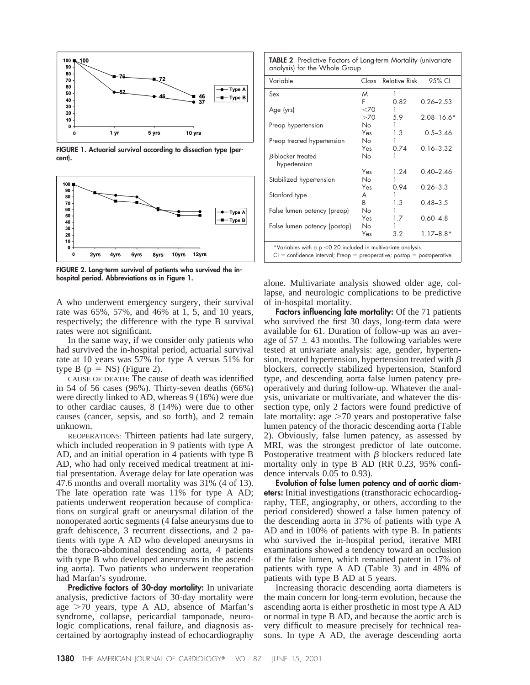

**FIGURE 1. Actuarial survival according to dissection type (percent).**



**FIGURE 2. Long-term survival of patients who survived the inhospital period. Abbreviations as in Figure 1.**

A who underwent emergency surgery, their survival rate was 65%, 57%, and 46% at 1, 5, and 10 years, respectively; the difference with the type B survival rates were not significant.

In the same way, if we consider only patients who had survived the in-hospital period, actuarial survival rate at 10 years was 57% for type A versus 51% for type B  $(p = NS)$  (Figure 2).

CAUSE OF DEATH: The cause of death was identified in 54 of 56 cases (96%). Thirty-seven deaths (66%) were directly linked to AD, whereas 9 (16%) were due to other cardiac causes, 8 (14%) were due to other causes (cancer, sepsis, and so forth), and 2 remain unknown.

REOPERATIONS: Thirteen patients had late surgery, which included reoperation in 9 patients with type A AD, and an initial operation in 4 patients with type B AD, who had only received medical treatment at initial presentation. Average delay for late operation was 47.6 months and overall mortality was 31% (4 of 13). The late operation rate was 11% for type A AD; patients underwent reoperation because of complications on surgical graft or aneurysmal dilation of the nonoperated aortic segments (4 false aneurysms due to graft dehiscence, 3 recurrent dissections, and 2 patients with type A AD who developed aneurysms in the thoraco-abdominal descending aorta, 4 patients with type B who developed aneurysms in the ascending aorta). Two patients who underwent reoperation had Marfan's syndrome.

**Predictive factors of 30-day mortality:** In univariate analysis, predictive factors of 30-day mortality were age  $>70$  years, type A AD, absence of Marfan's syndrome, collapse, pericardial tamponade, neurologic complications, renal failure, and diagnosis ascertained by aortography instead of echocardiography

**TABLE 2** Predictive Factors of Long-term Mortality (univariate analysis) for the Whole Group

| Variable                                                                  |     | Class Relative Risk | 95% CI         |
|---------------------------------------------------------------------------|-----|---------------------|----------------|
|                                                                           |     |                     |                |
| Sex                                                                       | M   | 1                   |                |
|                                                                           | F   | 0.82                | $0.26 - 2.53$  |
| Age (yrs)                                                                 | <70 |                     |                |
|                                                                           | >70 | 5.9                 | $2.08 - 16.6*$ |
| Preop hypertension                                                        | No. |                     |                |
|                                                                           | Yes | 1.3                 | $0.5 - 3.46$   |
| Preop treated hypertension                                                | No. |                     |                |
|                                                                           | Yes | 0.74                | $0.16 - 3.32$  |
| $\beta$ -blocker treated                                                  | No  |                     |                |
| hypertension                                                              |     |                     |                |
|                                                                           | Yes | 1.24                | $0.40 - 2.46$  |
| Stabilized hypertension                                                   | No  |                     |                |
|                                                                           | Yes | 0.94                | $0.26 - 3.3$   |
| Stanford type                                                             | A   |                     |                |
|                                                                           | B.  | 1.3                 | $0.48 - 3.5$   |
| False lumen patency (preop)                                               | No. |                     |                |
|                                                                           | Yes | 1.7                 | $0.60 - 4.8$   |
| False lumen patency (postop)                                              | No. |                     |                |
|                                                                           | Yes | 3.2                 | $1.17 - 8.8*$  |
| *Variables with a $p < 0.20$ included in multivariate analysis.           |     |                     |                |
| $Cl =$ confidence interval; Preop = preoperative; postop = postoperative. |     |                     |                |

alone. Multivariate analysis showed older age, collapse, and neurologic complications to be predictive of in-hospital mortality.

**Factors influencing late mortality:** Of the 71 patients who survived the first 30 days, long-term data were available for 61. Duration of follow-up was an average of  $57 \pm 43$  months. The following variables were tested at univariate analysis: age, gender, hypertension, treated hypertension, hypertension treated with  $\beta$ blockers, correctly stabilized hypertension, Stanford type, and descending aorta false lumen patency preoperatively and during follow-up. Whatever the analysis, univariate or multivariate, and whatever the dissection type, only 2 factors were found predictive of late mortality: age  $>70$  years and postoperative false lumen patency of the thoracic descending aorta (Table 2). Obviously, false lumen patency, as assessed by MRI, was the strongest predictor of late outcome. Postoperative treatment with  $\beta$  blockers reduced late mortality only in type B AD (RR 0.23, 95% confidence intervals 0.05 to 0.93).

**Evolution of false lumen patency and of aortic diameters:** Initial investigations (transthoracic echocardiography, TEE, angiography, or others, according to the period considered) showed a false lumen patency of the descending aorta in 37% of patients with type A AD and in 100% of patients with type B. In patients who survived the in-hospital period, iterative MRI examinations showed a tendency toward an occlusion of the false lumen, which remained patent in 17% of patients with type A AD (Table 3) and in 48% of patients with type B AD at 5 years.

Increasing thoracic descending aorta diameters is the main concern for long-term evolution, because the ascending aorta is either prosthetic in most type A AD or normal in type B AD, and because the aortic arch is very difficult to measure precisely for technical reasons. In type A AD, the average descending aorta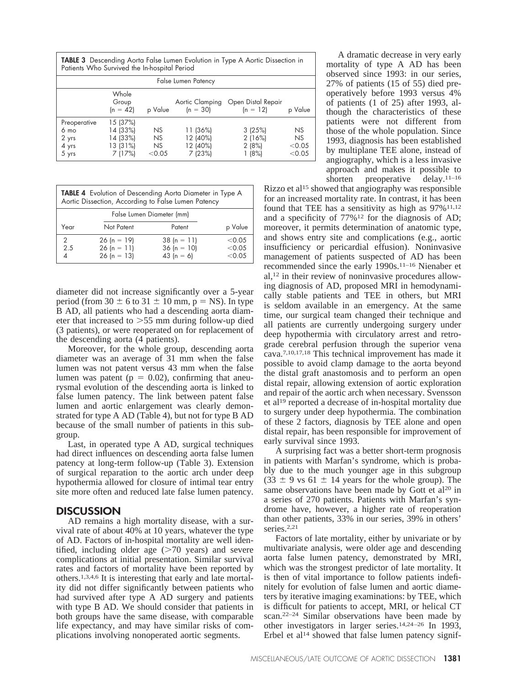**TABLE 3** Descending Aorta False Lumen Evolution in Type A Aortic Dissection in Patients Who Survived the In-hospital Period

| False Lumen Patency                                        |                                                         |                            |                                            |                                    |                                     |
|------------------------------------------------------------|---------------------------------------------------------|----------------------------|--------------------------------------------|------------------------------------|-------------------------------------|
|                                                            | Whole<br>Group<br>$(n = 42)$                            | p Value                    | Aortic Clamping<br>$(n = 30)$              | Open Distal Repair<br>$(n = 12)$   | p Value                             |
| Preoperative<br>6 <sub>mo</sub><br>2 yrs<br>4 yrs<br>5 yrs | 15 (37%)<br>14 (33%)<br>14 (33%)<br>13 (31%)<br>7 (17%) | NS<br>NS<br>NS<br>$<$ 0.05 | 11 (36%)<br>12 (40%)<br>12 (40%)<br>7(23%) | 3(25%)<br>2(16%)<br>2(8%)<br>1(8%) | NS<br><b>NS</b><br>< 0.05<br>< 0.05 |

| TABLE 4 Evolution of Descending Aorta Diameter in Type A<br>Aortic Dissection, According to False Lumen Patency |
|-----------------------------------------------------------------------------------------------------------------|
|                                                                                                                 |

| False Lumen Diameter (mm) |                                                 |                                               |                            |
|---------------------------|-------------------------------------------------|-----------------------------------------------|----------------------------|
| Year                      | Not Patent                                      | Patent                                        | p Value                    |
| 2.5                       | $26 (n = 19)$<br>$26 (n = 11)$<br>$26 (n = 13)$ | $38(n = 11)$<br>$36 (n = 10)$<br>43 $(n = 6)$ | < 0.05<br>< 0.05<br>< 0.05 |

diameter did not increase significantly over a 5-year period (from  $30 \pm 6$  to  $31 \pm 10$  mm, p = NS). In type B AD, all patients who had a descending aorta diameter that increased to  $>55$  mm during follow-up died (3 patients), or were reoperated on for replacement of the descending aorta (4 patients).

Moreover, for the whole group, descending aorta diameter was an average of 31 mm when the false lumen was not patent versus 43 mm when the false lumen was patent ( $p = 0.02$ ), confirming that aneurysmal evolution of the descending aorta is linked to false lumen patency. The link between patent false lumen and aortic enlargement was clearly demonstrated for type A AD (Table 4), but not for type B AD because of the small number of patients in this subgroup.

Last, in operated type A AD, surgical techniques had direct influences on descending aorta false lumen patency at long-term follow-up (Table 3). Extension of surgical reparation to the aortic arch under deep hypothermia allowed for closure of intimal tear entry site more often and reduced late false lumen patency.

### **DISCUSSION**

AD remains a high mortality disease, with a survival rate of about 40% at 10 years, whatever the type of AD. Factors of in-hospital mortality are well identified, including older age  $(>=70$  years) and severe complications at initial presentation. Similar survival rates and factors of mortality have been reported by others.1,3,4,6 It is interesting that early and late mortality did not differ significantly between patients who had survived after type A AD surgery and patients with type B AD. We should consider that patients in both groups have the same disease, with comparable life expectancy, and may have similar risks of complications involving nonoperated aortic segments.

A dramatic decrease in very early mortality of type A AD has been observed since 1993: in our series, 27% of patients (15 of 55) died preoperatively before 1993 versus 4% of patients (1 of 25) after 1993, although the characteristics of these patients were not different from those of the whole population. Since 1993, diagnosis has been established by multiplane TEE alone, instead of angiography, which is a less invasive approach and makes it possible to shorten preoperative delay.<sup>11–16</sup>

Rizzo et al<sup>15</sup> showed that angiography was responsible for an increased mortality rate. In contrast, it has been found that TEE has a sensitivity as high as  $97\%$ <sup>11,12</sup> and a specificity of 77%12 for the diagnosis of AD; moreover, it permits determination of anatomic type, and shows entry site and complications (e.g., aortic insufficiency or pericardial effusion). Noninvasive management of patients suspected of AD has been recommended since the early 1990s.11–16 Nienaber et al,12 in their review of noninvasive procedures allowing diagnosis of AD, proposed MRI in hemodynamically stable patients and TEE in others, but MRI is seldom available in an emergency. At the same time, our surgical team changed their technique and all patients are currently undergoing surgery under deep hypothermia with circulatory arrest and retrograde cerebral perfusion through the superior vena cava.7,10,17,18 This technical improvement has made it possible to avoid clamp damage to the aorta beyond the distal graft anastomosis and to perform an open distal repair, allowing extension of aortic exploration and repair of the aortic arch when necessary. Svensson et al19 reported a decrease of in-hospital mortality due to surgery under deep hypothermia. The combination of these 2 factors, diagnosis by TEE alone and open distal repair, has been responsible for improvement of early survival since 1993.

A surprising fact was a better short-term prognosis in patients with Marfan's syndrome, which is probably due to the much younger age in this subgroup  $(33 \pm 9 \text{ vs } 61 \pm 14 \text{ years}$  for the whole group). The same observations have been made by Gott et al<sup>20</sup> in a series of 270 patients. Patients with Marfan's syndrome have, however, a higher rate of reoperation than other patients, 33% in our series, 39% in others' series<sup>2,21</sup>

Factors of late mortality, either by univariate or by multivariate analysis, were older age and descending aorta false lumen patency, demonstrated by MRI, which was the strongest predictor of late mortality. It is then of vital importance to follow patients indefinitely for evolution of false lumen and aortic diameters by iterative imaging examinations: by TEE, which is difficult for patients to accept, MRI, or helical CT scan.22–24 Similar observations have been made by other investigators in larger series.<sup>14,24-26</sup> In 1993, Erbel et al<sup>14</sup> showed that false lumen patency signif-